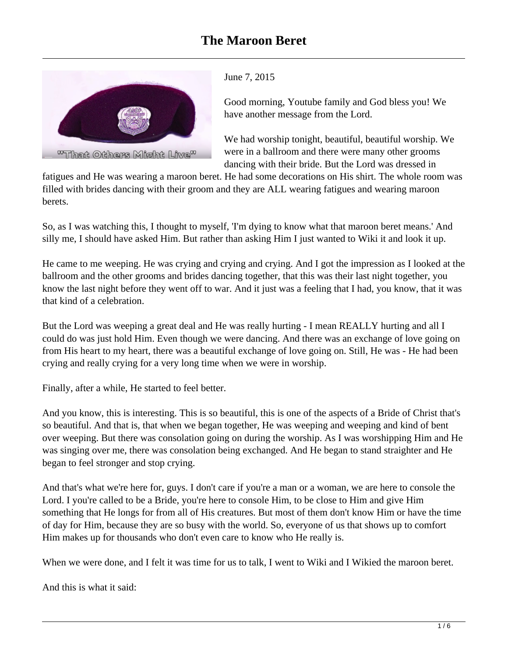

June 7, 2015

Good morning, Youtube family and God bless you! We have another message from the Lord.

We had worship tonight, beautiful, beautiful worship. We were in a ballroom and there were many other grooms dancing with their bride. But the Lord was dressed in

fatigues and He was wearing a maroon beret. He had some decorations on His shirt. The whole room was filled with brides dancing with their groom and they are ALL wearing fatigues and wearing maroon berets.

So, as I was watching this, I thought to myself, 'I'm dying to know what that maroon beret means.' And silly me, I should have asked Him. But rather than asking Him I just wanted to Wiki it and look it up.

He came to me weeping. He was crying and crying and crying. And I got the impression as I looked at the ballroom and the other grooms and brides dancing together, that this was their last night together, you know the last night before they went off to war. And it just was a feeling that I had, you know, that it was that kind of a celebration.

But the Lord was weeping a great deal and He was really hurting - I mean REALLY hurting and all I could do was just hold Him. Even though we were dancing. And there was an exchange of love going on from His heart to my heart, there was a beautiful exchange of love going on. Still, He was - He had been crying and really crying for a very long time when we were in worship.

Finally, after a while, He started to feel better.

And you know, this is interesting. This is so beautiful, this is one of the aspects of a Bride of Christ that's so beautiful. And that is, that when we began together, He was weeping and weeping and kind of bent over weeping. But there was consolation going on during the worship. As I was worshipping Him and He was singing over me, there was consolation being exchanged. And He began to stand straighter and He began to feel stronger and stop crying.

And that's what we're here for, guys. I don't care if you're a man or a woman, we are here to console the Lord. I you're called to be a Bride, you're here to console Him, to be close to Him and give Him something that He longs for from all of His creatures. But most of them don't know Him or have the time of day for Him, because they are so busy with the world. So, everyone of us that shows up to comfort Him makes up for thousands who don't even care to know who He really is.

When we were done, and I felt it was time for us to talk, I went to Wiki and I Wikied the maroon beret.

And this is what it said: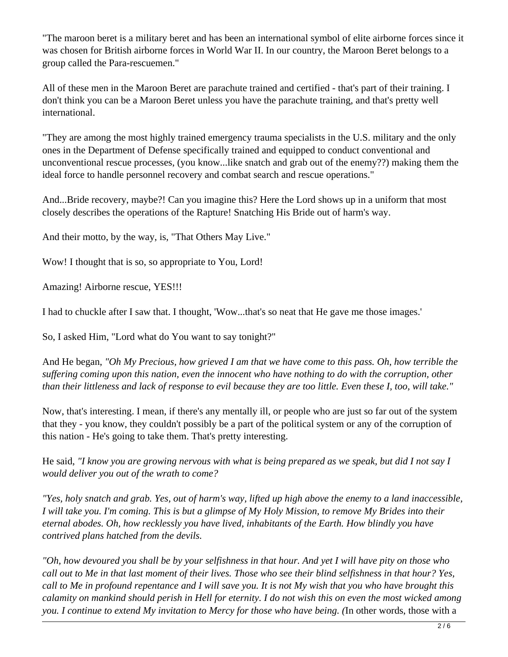"The maroon beret is a military beret and has been an international symbol of elite airborne forces since it was chosen for British airborne forces in World War II. In our country, the Maroon Beret belongs to a group called the Para-rescuemen."

All of these men in the Maroon Beret are parachute trained and certified - that's part of their training. I don't think you can be a Maroon Beret unless you have the parachute training, and that's pretty well international.

"They are among the most highly trained emergency trauma specialists in the U.S. military and the only ones in the Department of Defense specifically trained and equipped to conduct conventional and unconventional rescue processes, (you know...like snatch and grab out of the enemy??) making them the ideal force to handle personnel recovery and combat search and rescue operations."

And...Bride recovery, maybe?! Can you imagine this? Here the Lord shows up in a uniform that most closely describes the operations of the Rapture! Snatching His Bride out of harm's way.

And their motto, by the way, is, "That Others May Live."

Wow! I thought that is so, so appropriate to You, Lord!

Amazing! Airborne rescue, YES!!!

I had to chuckle after I saw that. I thought, 'Wow...that's so neat that He gave me those images.'

So, I asked Him, "Lord what do You want to say tonight?"

And He began, *"Oh My Precious, how grieved I am that we have come to this pass. Oh, how terrible the suffering coming upon this nation, even the innocent who have nothing to do with the corruption, other than their littleness and lack of response to evil because they are too little. Even these I, too, will take."* 

Now, that's interesting. I mean, if there's any mentally ill, or people who are just so far out of the system that they - you know, they couldn't possibly be a part of the political system or any of the corruption of this nation - He's going to take them. That's pretty interesting.

He said, *"I know you are growing nervous with what is being prepared as we speak, but did I not say I would deliver you out of the wrath to come?*

*"Yes, holy snatch and grab. Yes, out of harm's way, lifted up high above the enemy to a land inaccessible, I will take you. I'm coming. This is but a glimpse of My Holy Mission, to remove My Brides into their eternal abodes. Oh, how recklessly you have lived, inhabitants of the Earth. How blindly you have contrived plans hatched from the devils.*

*"Oh, how devoured you shall be by your selfishness in that hour. And yet I will have pity on those who call out to Me in that last moment of their lives. Those who see their blind selfishness in that hour? Yes, call to Me in profound repentance and I will save you. It is not My wish that you who have brought this calamity on mankind should perish in Hell for eternity. I do not wish this on even the most wicked among you. I continue to extend My invitation to Mercy for those who have being. (*In other words, those with a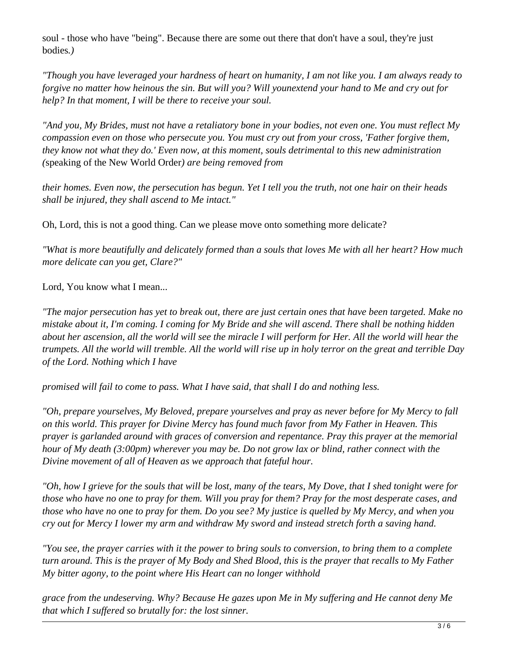soul - those who have "being". Because there are some out there that don't have a soul, they're just bodies*.)* 

*"Though you have leveraged your hardness of heart on humanity, I am not like you. I am always ready to forgive no matter how heinous the sin. But will you? Will younextend your hand to Me and cry out for help? In that moment, I will be there to receive your soul.*

*"And you, My Brides, must not have a retaliatory bone in your bodies, not even one. You must reflect My compassion even on those who persecute you. You must cry out from your cross, 'Father forgive them, they know not what they do.' Even now, at this moment, souls detrimental to this new administration (*speaking of the New World Order*) are being removed from*

*their homes. Even now, the persecution has begun. Yet I tell you the truth, not one hair on their heads shall be injured, they shall ascend to Me intact."*

Oh, Lord, this is not a good thing. Can we please move onto something more delicate?

*"What is more beautifully and delicately formed than a souls that loves Me with all her heart? How much more delicate can you get, Clare?"*

Lord, You know what I mean...

*"The major persecution has yet to break out, there are just certain ones that have been targeted. Make no mistake about it, I'm coming. I coming for My Bride and she will ascend. There shall be nothing hidden about her ascension, all the world will see the miracle I will perform for Her. All the world will hear the trumpets. All the world will tremble. All the world will rise up in holy terror on the great and terrible Day of the Lord. Nothing which I have*

*promised will fail to come to pass. What I have said, that shall I do and nothing less.*

*"Oh, prepare yourselves, My Beloved, prepare yourselves and pray as never before for My Mercy to fall on this world. This prayer for Divine Mercy has found much favor from My Father in Heaven. This prayer is garlanded around with graces of conversion and repentance. Pray this prayer at the memorial hour of My death (3:00pm) wherever you may be. Do not grow lax or blind, rather connect with the Divine movement of all of Heaven as we approach that fateful hour.*

*"Oh, how I grieve for the souls that will be lost, many of the tears, My Dove, that I shed tonight were for those who have no one to pray for them. Will you pray for them? Pray for the most desperate cases, and those who have no one to pray for them. Do you see? My justice is quelled by My Mercy, and when you cry out for Mercy I lower my arm and withdraw My sword and instead stretch forth a saving hand.* 

*"You see, the prayer carries with it the power to bring souls to conversion, to bring them to a complete turn around. This is the prayer of My Body and Shed Blood, this is the prayer that recalls to My Father My bitter agony, to the point where His Heart can no longer withhold*

*grace from the undeserving. Why? Because He gazes upon Me in My suffering and He cannot deny Me that which I suffered so brutally for: the lost sinner.*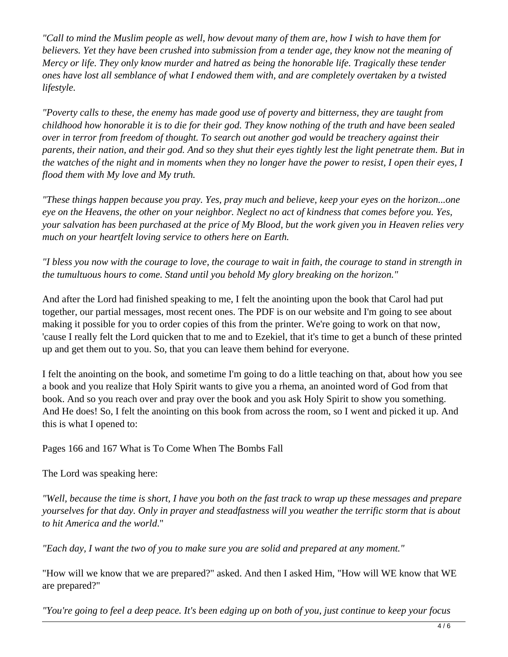*"Call to mind the Muslim people as well, how devout many of them are, how I wish to have them for believers. Yet they have been crushed into submission from a tender age, they know not the meaning of Mercy or life. They only know murder and hatred as being the honorable life. Tragically these tender ones have lost all semblance of what I endowed them with, and are completely overtaken by a twisted lifestyle.* 

*"Poverty calls to these, the enemy has made good use of poverty and bitterness, they are taught from childhood how honorable it is to die for their god. They know nothing of the truth and have been sealed over in terror from freedom of thought. To search out another god would be treachery against their parents, their nation, and their god. And so they shut their eyes tightly lest the light penetrate them. But in the watches of the night and in moments when they no longer have the power to resist, I open their eyes, I flood them with My love and My truth.*

*"These things happen because you pray. Yes, pray much and believe, keep your eyes on the horizon...one eye on the Heavens, the other on your neighbor. Neglect no act of kindness that comes before you. Yes, your salvation has been purchased at the price of My Blood, but the work given you in Heaven relies very much on your heartfelt loving service to others here on Earth.*

*"I bless you now with the courage to love, the courage to wait in faith, the courage to stand in strength in the tumultuous hours to come. Stand until you behold My glory breaking on the horizon."*

And after the Lord had finished speaking to me, I felt the anointing upon the book that Carol had put together, our partial messages, most recent ones. The PDF is on our website and I'm going to see about making it possible for you to order copies of this from the printer. We're going to work on that now, 'cause I really felt the Lord quicken that to me and to Ezekiel, that it's time to get a bunch of these printed up and get them out to you. So, that you can leave them behind for everyone.

I felt the anointing on the book, and sometime I'm going to do a little teaching on that, about how you see a book and you realize that Holy Spirit wants to give you a rhema, an anointed word of God from that book. And so you reach over and pray over the book and you ask Holy Spirit to show you something. And He does! So, I felt the anointing on this book from across the room, so I went and picked it up. And this is what I opened to:

Pages 166 and 167 What is To Come When The Bombs Fall

The Lord was speaking here:

*"Well, because the time is short, I have you both on the fast track to wrap up these messages and prepare yourselves for that day. Only in prayer and steadfastness will you weather the terrific storm that is about to hit America and the world*."

*"Each day, I want the two of you to make sure you are solid and prepared at any moment."*

"How will we know that we are prepared?" asked. And then I asked Him, "How will WE know that WE are prepared?"

*"You're going to feel a deep peace. It's been edging up on both of you, just continue to keep your focus*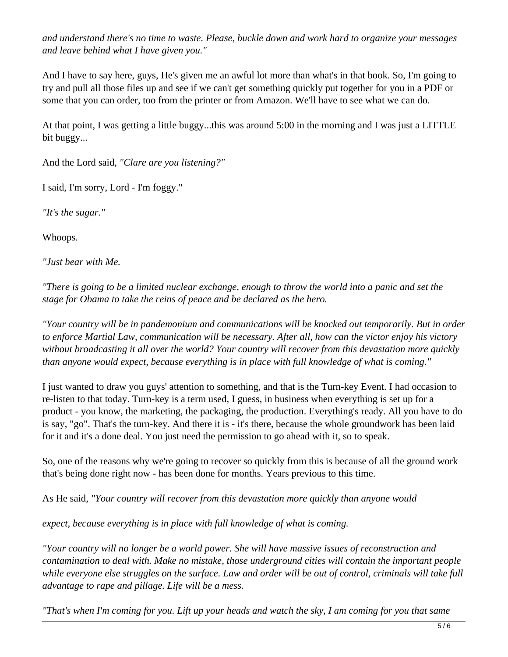*and understand there's no time to waste. Please, buckle down and work hard to organize your messages and leave behind what I have given you."*

And I have to say here, guys, He's given me an awful lot more than what's in that book. So, I'm going to try and pull all those files up and see if we can't get something quickly put together for you in a PDF or some that you can order, too from the printer or from Amazon. We'll have to see what we can do.

At that point, I was getting a little buggy...this was around 5:00 in the morning and I was just a LITTLE bit buggy...

And the Lord said, *"Clare are you listening?"*

I said, I'm sorry, Lord - I'm foggy."

*"It's the sugar."*

Whoops.

*"Just bear with Me.*

*"There is going to be a limited nuclear exchange, enough to throw the world into a panic and set the stage for Obama to take the reins of peace and be declared as the hero.*

*"Your country will be in pandemonium and communications will be knocked out temporarily. But in order to enforce Martial Law, communication will be necessary. After all, how can the victor enjoy his victory without broadcasting it all over the world? Your country will recover from this devastation more quickly than anyone would expect, because everything is in place with full knowledge of what is coming."*

I just wanted to draw you guys' attention to something, and that is the Turn-key Event. I had occasion to re-listen to that today. Turn-key is a term used, I guess, in business when everything is set up for a product - you know, the marketing, the packaging, the production. Everything's ready. All you have to do is say, "go". That's the turn-key. And there it is - it's there, because the whole groundwork has been laid for it and it's a done deal. You just need the permission to go ahead with it, so to speak.

So, one of the reasons why we're going to recover so quickly from this is because of all the ground work that's being done right now - has been done for months. Years previous to this time.

As He said, *"Your country will recover from this devastation more quickly than anyone would*

*expect, because everything is in place with full knowledge of what is coming.*

*"Your country will no longer be a world power. She will have massive issues of reconstruction and contamination to deal with. Make no mistake, those underground cities will contain the important people while everyone else struggles on the surface. Law and order will be out of control, criminals will take full advantage to rape and pillage. Life will be a mess.*

*"That's when I'm coming for you. Lift up your heads and watch the sky, I am coming for you that same*